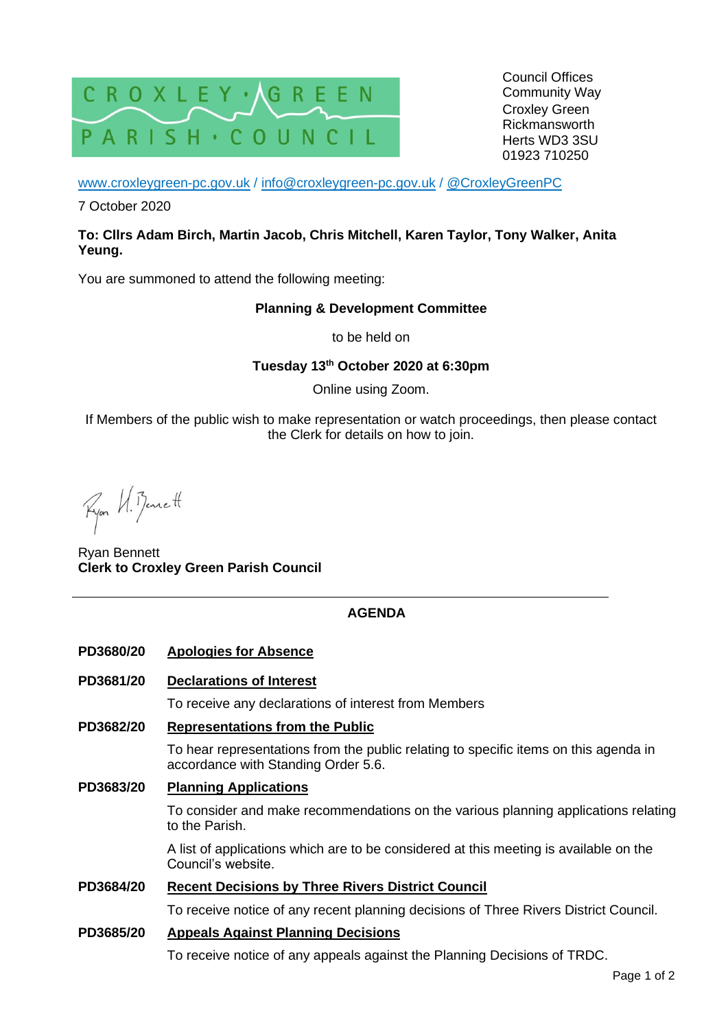

Council Offices Community Way Croxley Green Rickmansworth Herts WD3 3SU 01923 710250

[www.croxleygreen-pc.gov.uk](http://www.croxleygreen-pc.gov.uk/) / [info@croxleygreen-pc.gov.uk](mailto:info@croxleygreen-pc.gov.uk) / [@CroxleyGreenPC](https://twitter.com/CroxleyGreenPC)

7 October 2020

## **To: Cllrs Adam Birch, Martin Jacob, Chris Mitchell, Karen Taylor, Tony Walker, Anita Yeung.**

You are summoned to attend the following meeting:

#### **Planning & Development Committee**

to be held on

# **Tuesday 13 th October 2020 at 6:30pm**

Online using Zoom.

If Members of the public wish to make representation or watch proceedings, then please contact the Clerk for details on how to join.

Ryon VI. Bennett

Ryan Bennett **Clerk to Croxley Green Parish Council**

# **AGENDA**

- **PD3680/20 Apologies for Absence**
- **PD3681/20 Declarations of Interest**

To receive any declarations of interest from Members

**PD3682/20 Representations from the Public**

To hear representations from the public relating to specific items on this agenda in accordance with Standing Order 5.6.

**PD3683/20 Planning Applications**

To consider and make recommendations on the various planning applications relating to the Parish.

A list of applications which are to be considered at this meeting is available on the Council's website.

# **PD3684/20 Recent Decisions by Three Rivers District Council**

To receive notice of any recent planning decisions of Three Rivers District Council.

## **PD3685/20 Appeals Against Planning Decisions**

To receive notice of any appeals against the Planning Decisions of TRDC.